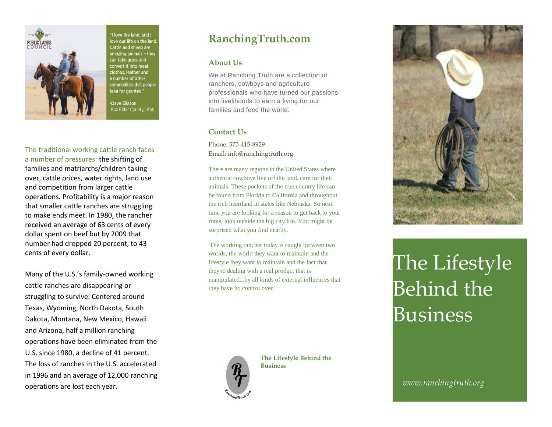

'I love the land, and I ove our life on the land Cattle and sheep are amazing animals - they can take grass and convert it into meat. clothes, leather and a number of other commodities that people ake for granted."

Dave Eliason Box Elder County, Utah

The traditional working cattle ranch faces a number of pressures: the shifting of families and matriarchs/children taking over, cattle prices, water rights, land use and competition from larger cattle operations. Profitability is a major reason that smaller cattle ranches are struggling to make ends meet. In 1980, the rancher received an average of 63 cents of every dollar spent on beef but by 2009 that number had dropped 20 percent, to 43 cents of every dollar.

Many of the U.S.'s family-owned working cattle ranches are disappearing or struggling to survive. Centered around Texas, Wyoming, North Dakota, South Dakota, Montana, New Mexico, Hawaii and Arizona, half a million ranching operations have been eliminated from the U.S. since 1980, a decline of 41 percent. The loss of ranches in the U.S. accelerated in 1996 and an average of 12,000 ranching operations are lost each year.

## **RanchingTruth.com**

## **About Us**

We at Ranching Truth are a collection of ranchers, cowboys and agriculture professionals who have turned our passions into livelihoods to earn a living for our families and feed the world.

## **Contact Us**

Phone: 575-415-8929 Email: [info@ranchingtruth.org](mailto:info@ranchingtruth.org)

There are many regions in the United States where authentic cowboys live off the land, care for their animals. These pockets of the true country life can be found from Florida to California and throughout the rich heartland in states like Nebraska. So next time you are looking for a reason to get back to your roots, look outside the big city life. You might be surprised what you find nearby.

'The working rancher today is caught between two worlds, the world they want to maintain and the lifestyle they want to maintain and the fact that they're dealing with a real product that is manipulated...by all kinds of external influences that they have no control over.'



**The Lifestyle Behind the Business**



## The Lifestyle Behind the Business

*www.ranchingtruth.org*